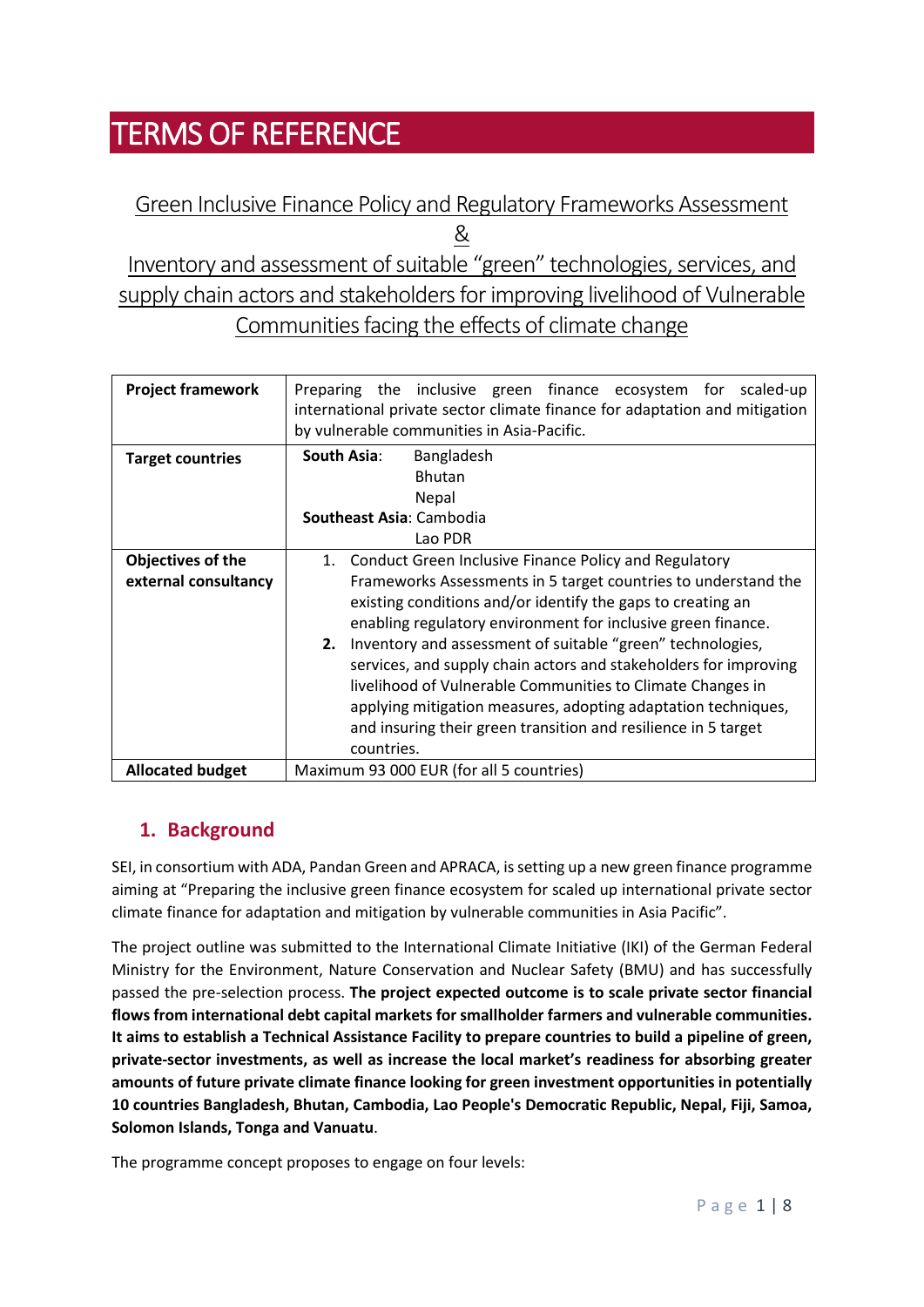# TERMS OF REFERENCE

## Green Inclusive Finance Policy and Regulatory Frameworks Assessment &

Inventory and assessment of suitable "green" technologies, services, and supply chain actors and stakeholders for improving livelihood of Vulnerable Communities facing the effects of climate change

| <b>Project framework</b> | Preparing the inclusive green finance ecosystem for<br>scaled-up<br>international private sector climate finance for adaptation and mitigation<br>by vulnerable communities in Asia-Pacific.                                                                                                                                                                                                                                                                                                                                                      |
|--------------------------|---------------------------------------------------------------------------------------------------------------------------------------------------------------------------------------------------------------------------------------------------------------------------------------------------------------------------------------------------------------------------------------------------------------------------------------------------------------------------------------------------------------------------------------------------|
| <b>Target countries</b>  | South Asia:<br>Bangladesh<br><b>Bhutan</b>                                                                                                                                                                                                                                                                                                                                                                                                                                                                                                        |
|                          | Nepal                                                                                                                                                                                                                                                                                                                                                                                                                                                                                                                                             |
|                          | Southeast Asia: Cambodia                                                                                                                                                                                                                                                                                                                                                                                                                                                                                                                          |
|                          | Lao PDR                                                                                                                                                                                                                                                                                                                                                                                                                                                                                                                                           |
| Objectives of the        | Conduct Green Inclusive Finance Policy and Regulatory<br>1.                                                                                                                                                                                                                                                                                                                                                                                                                                                                                       |
| external consultancy     | Frameworks Assessments in 5 target countries to understand the<br>existing conditions and/or identify the gaps to creating an<br>enabling regulatory environment for inclusive green finance.<br>2. Inventory and assessment of suitable "green" technologies,<br>services, and supply chain actors and stakeholders for improving<br>livelihood of Vulnerable Communities to Climate Changes in<br>applying mitigation measures, adopting adaptation techniques,<br>and insuring their green transition and resilience in 5 target<br>countries. |
| <b>Allocated budget</b>  | Maximum 93 000 EUR (for all 5 countries)                                                                                                                                                                                                                                                                                                                                                                                                                                                                                                          |

## **1. Background**

SEI, in consortium with ADA, Pandan Green and APRACA, is setting up a new green finance programme aiming at "Preparing the inclusive green finance ecosystem for scaled up international private sector climate finance for adaptation and mitigation by vulnerable communities in Asia Pacific".

The project outline was submitted to the International Climate Initiative (IKI) of the German Federal Ministry for the Environment, Nature Conservation and Nuclear Safety (BMU) and has successfully passed the pre-selection process. **The project expected outcome is to scale private sector financial flows from international debt capital markets for smallholder farmers and vulnerable communities. It aims to establish a Technical Assistance Facility to prepare countries to build a pipeline of green, private-sector investments, as well as increase the local market's readiness for absorbing greater amounts of future private climate finance looking for green investment opportunities in potentially 10 countries Bangladesh, Bhutan, Cambodia, Lao People's Democratic Republic, Nepal, Fiji, Samoa, Solomon Islands, Tonga and Vanuatu**.

The programme concept proposes to engage on four levels: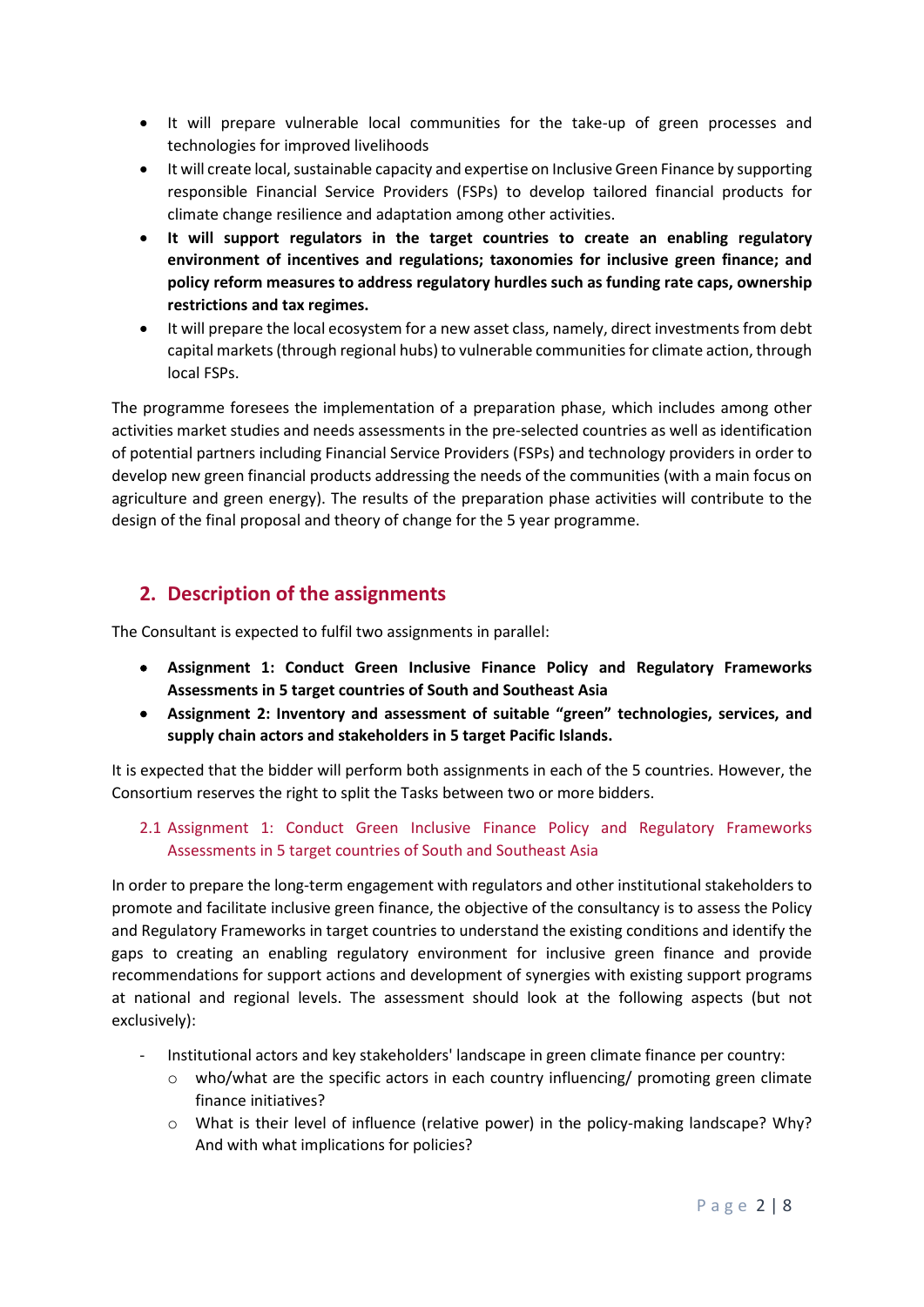- It will prepare vulnerable local communities for the take-up of green processes and technologies for improved livelihoods
- It will create local, sustainable capacity and expertise on Inclusive Green Finance by supporting responsible Financial Service Providers (FSPs) to develop tailored financial products for climate change resilience and adaptation among other activities.
- **It will support regulators in the target countries to create an enabling regulatory environment of incentives and regulations; taxonomies for inclusive green finance; and policy reform measures to address regulatory hurdles such as funding rate caps, ownership restrictions and tax regimes.**
- It will prepare the local ecosystem for a new asset class, namely, direct investments from debt capital markets (through regional hubs) to vulnerable communities for climate action, through local FSPs.

The programme foresees the implementation of a preparation phase, which includes among other activities market studies and needs assessments in the pre-selected countries as well as identification of potential partners including Financial Service Providers (FSPs) and technology providers in order to develop new green financial products addressing the needs of the communities (with a main focus on agriculture and green energy). The results of the preparation phase activities will contribute to the design of the final proposal and theory of change for the 5 year programme.

## **2. Description of the assignments**

The Consultant is expected to fulfil two assignments in parallel:

- **Assignment 1: Conduct Green Inclusive Finance Policy and Regulatory Frameworks Assessments in 5 target countries of South and Southeast Asia**
- **Assignment 2: Inventory and assessment of suitable "green" technologies, services, and supply chain actors and stakeholders in 5 target Pacific Islands.**

It is expected that the bidder will perform both assignments in each of the 5 countries. However, the Consortium reserves the right to split the Tasks between two or more bidders.

#### 2.1 Assignment 1: Conduct Green Inclusive Finance Policy and Regulatory Frameworks Assessments in 5 target countries of South and Southeast Asia

In order to prepare the long-term engagement with regulators and other institutional stakeholders to promote and facilitate inclusive green finance, the objective of the consultancy is to assess the Policy and Regulatory Frameworks in target countries to understand the existing conditions and identify the gaps to creating an enabling regulatory environment for inclusive green finance and provide recommendations for support actions and development of synergies with existing support programs at national and regional levels. The assessment should look at the following aspects (but not exclusively):

- Institutional actors and key stakeholders' landscape in green climate finance per country:
	- $\circ$  who/what are the specific actors in each country influencing/ promoting green climate finance initiatives?
	- o What is their level of influence (relative power) in the policy-making landscape? Why? And with what implications for policies?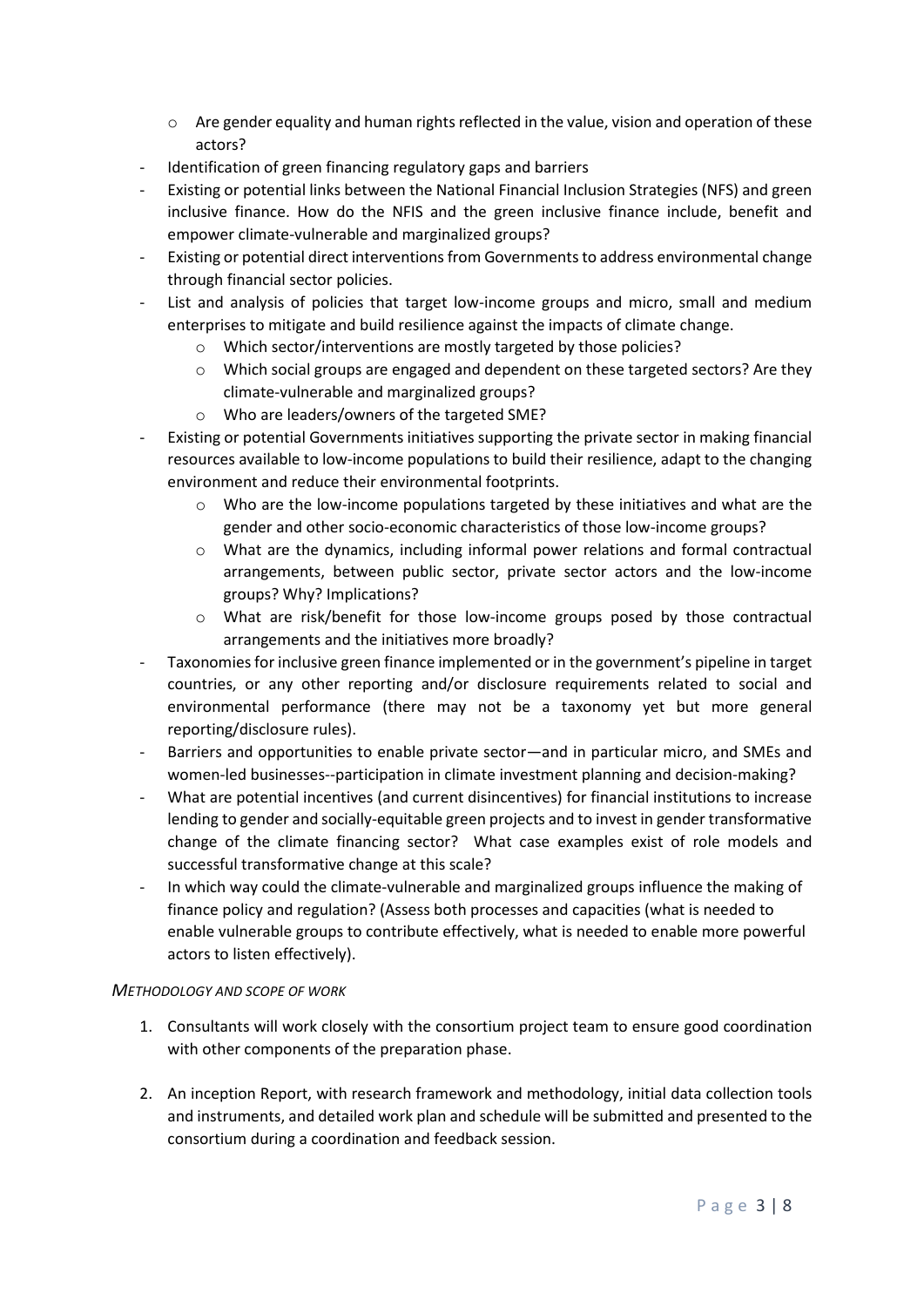- $\circ$  Are gender equality and human rights reflected in the value, vision and operation of these actors?
- Identification of green financing regulatory gaps and barriers
- Existing or potential links between the National Financial Inclusion Strategies (NFS) and green inclusive finance. How do the NFIS and the green inclusive finance include, benefit and empower climate-vulnerable and marginalized groups?
- Existing or potential direct interventions from Governments to address environmental change through financial sector policies.
- List and analysis of policies that target low-income groups and micro, small and medium enterprises to mitigate and build resilience against the impacts of climate change.
	- o Which sector/interventions are mostly targeted by those policies?
	- $\circ$  Which social groups are engaged and dependent on these targeted sectors? Are they climate-vulnerable and marginalized groups?
	- o Who are leaders/owners of the targeted SME?
- Existing or potential Governments initiatives supporting the private sector in making financial resources available to low-income populations to build their resilience, adapt to the changing environment and reduce their environmental footprints.
	- $\circ$  Who are the low-income populations targeted by these initiatives and what are the gender and other socio-economic characteristics of those low-income groups?
	- o What are the dynamics, including informal power relations and formal contractual arrangements, between public sector, private sector actors and the low-income groups? Why? Implications?
	- o What are risk/benefit for those low-income groups posed by those contractual arrangements and the initiatives more broadly?
- Taxonomies for inclusive green finance implemented or in the government's pipeline in target countries, or any other reporting and/or disclosure requirements related to social and environmental performance (there may not be a taxonomy yet but more general reporting/disclosure rules).
- Barriers and opportunities to enable private sector—and in particular micro, and SMEs and women-led businesses--participation in climate investment planning and decision-making?
- What are potential incentives (and current disincentives) for financial institutions to increase lending to gender and socially-equitable green projects and to invest in gender transformative change of the climate financing sector? What case examples exist of role models and successful transformative change at this scale?
- In which way could the climate-vulnerable and marginalized groups influence the making of finance policy and regulation? (Assess both processes and capacities (what is needed to enable vulnerable groups to contribute effectively, what is needed to enable more powerful actors to listen effectively).

#### *METHODOLOGY AND SCOPE OF WORK*

- 1. Consultants will work closely with the consortium project team to ensure good coordination with other components of the preparation phase.
- 2. An inception Report, with research framework and methodology, initial data collection tools and instruments, and detailed work plan and schedule will be submitted and presented to the consortium during a coordination and feedback session.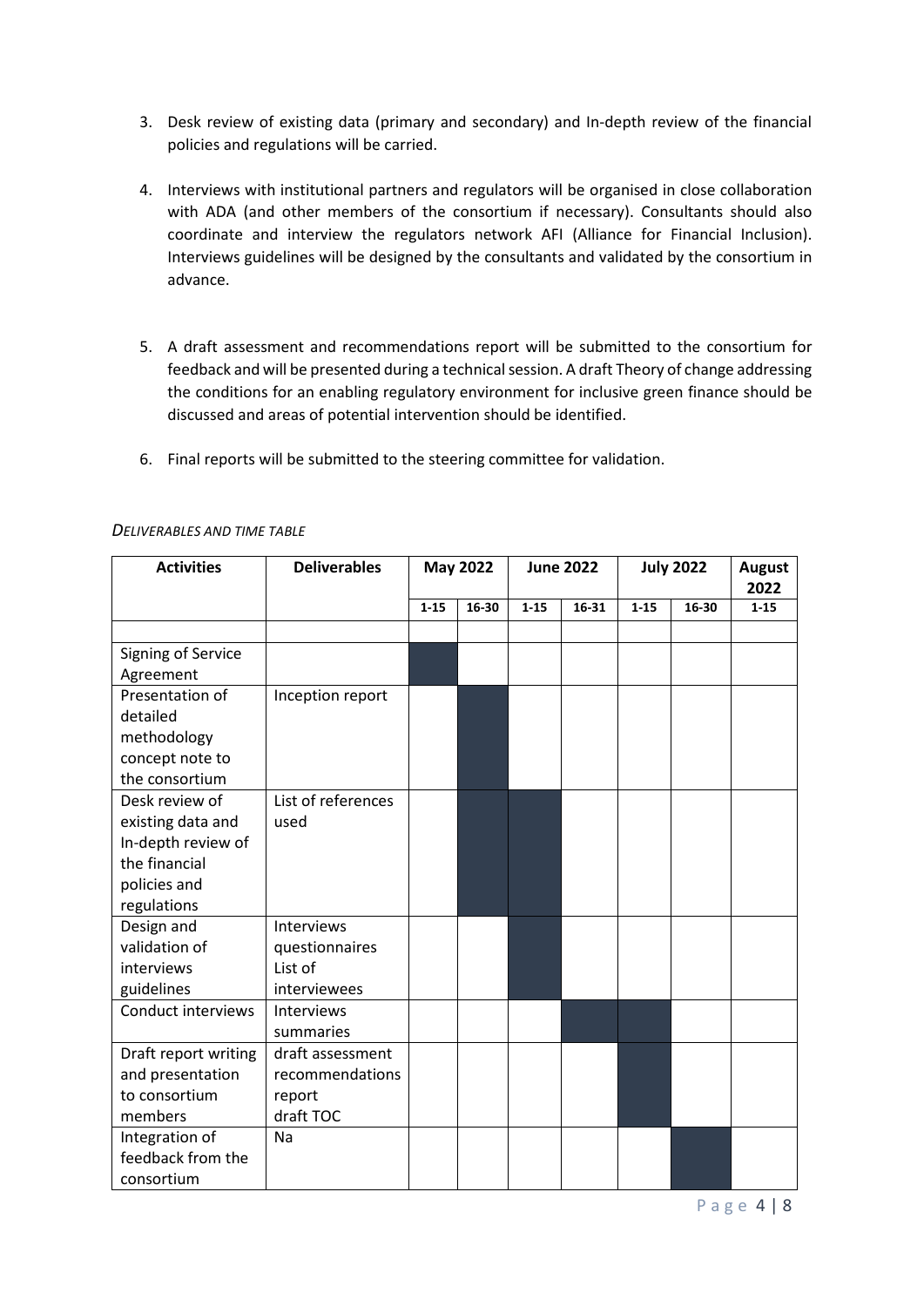- 3. Desk review of existing data (primary and secondary) and In-depth review of the financial policies and regulations will be carried.
- 4. Interviews with institutional partners and regulators will be organised in close collaboration with ADA (and other members of the consortium if necessary). Consultants should also coordinate and interview the regulators network AFI (Alliance for Financial Inclusion). Interviews guidelines will be designed by the consultants and validated by the consortium in advance.
- 5. A draft assessment and recommendations report will be submitted to the consortium for feedback and will be presented during a technical session. A draft Theory of change addressing the conditions for an enabling regulatory environment for inclusive green finance should be discussed and areas of potential intervention should be identified.
- 6. Final reports will be submitted to the steering committee for validation.

| <b>Activities</b>    | <b>Deliverables</b> | <b>May 2022</b> |       | <b>June 2022</b> |       | <b>July 2022</b> |       | <b>August</b><br>2022 |
|----------------------|---------------------|-----------------|-------|------------------|-------|------------------|-------|-----------------------|
|                      |                     | $1 - 15$        | 16-30 | $1 - 15$         | 16-31 | $1 - 15$         | 16-30 | $1 - 15$              |
|                      |                     |                 |       |                  |       |                  |       |                       |
| Signing of Service   |                     |                 |       |                  |       |                  |       |                       |
| Agreement            |                     |                 |       |                  |       |                  |       |                       |
| Presentation of      | Inception report    |                 |       |                  |       |                  |       |                       |
| detailed             |                     |                 |       |                  |       |                  |       |                       |
| methodology          |                     |                 |       |                  |       |                  |       |                       |
| concept note to      |                     |                 |       |                  |       |                  |       |                       |
| the consortium       |                     |                 |       |                  |       |                  |       |                       |
| Desk review of       | List of references  |                 |       |                  |       |                  |       |                       |
| existing data and    | used                |                 |       |                  |       |                  |       |                       |
| In-depth review of   |                     |                 |       |                  |       |                  |       |                       |
| the financial        |                     |                 |       |                  |       |                  |       |                       |
| policies and         |                     |                 |       |                  |       |                  |       |                       |
| regulations          |                     |                 |       |                  |       |                  |       |                       |
| Design and           | Interviews          |                 |       |                  |       |                  |       |                       |
| validation of        | questionnaires      |                 |       |                  |       |                  |       |                       |
| interviews           | List of             |                 |       |                  |       |                  |       |                       |
| guidelines           | interviewees        |                 |       |                  |       |                  |       |                       |
| Conduct interviews   | Interviews          |                 |       |                  |       |                  |       |                       |
|                      | summaries           |                 |       |                  |       |                  |       |                       |
| Draft report writing | draft assessment    |                 |       |                  |       |                  |       |                       |
| and presentation     | recommendations     |                 |       |                  |       |                  |       |                       |
| to consortium        | report              |                 |       |                  |       |                  |       |                       |
| members              | draft TOC           |                 |       |                  |       |                  |       |                       |
| Integration of       | Na                  |                 |       |                  |       |                  |       |                       |
| feedback from the    |                     |                 |       |                  |       |                  |       |                       |
| consortium           |                     |                 |       |                  |       |                  |       |                       |

#### *DELIVERABLES AND TIME TABLE*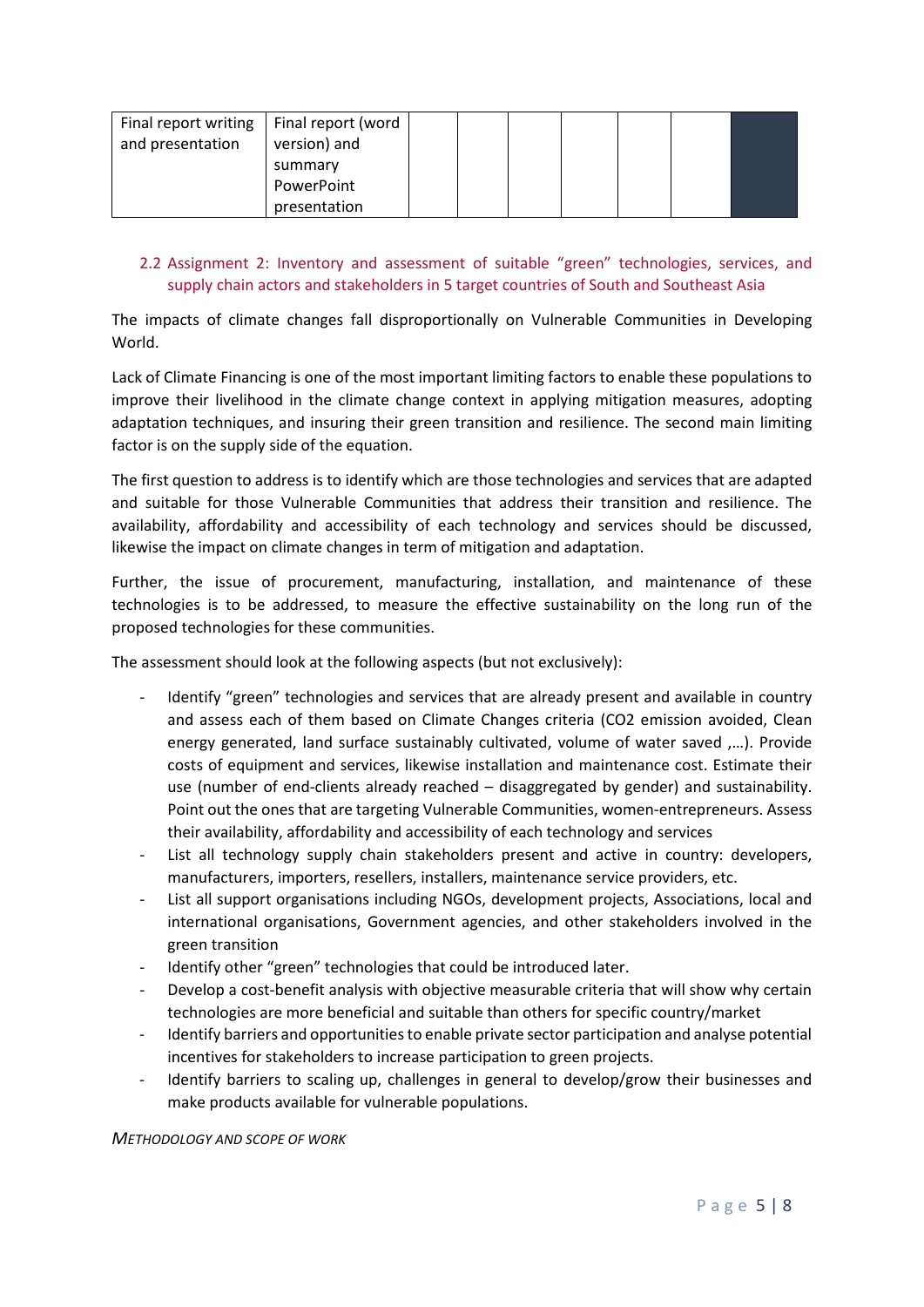| Final report writing | Final report (word |  |  |  |  |
|----------------------|--------------------|--|--|--|--|
| and presentation     | version) and       |  |  |  |  |
|                      | summary            |  |  |  |  |
|                      | PowerPoint         |  |  |  |  |
|                      | presentation       |  |  |  |  |

#### 2.2 Assignment 2: Inventory and assessment of suitable "green" technologies, services, and supply chain actors and stakeholders in 5 target countries of South and Southeast Asia

The impacts of climate changes fall disproportionally on Vulnerable Communities in Developing World.

Lack of Climate Financing is one of the most important limiting factors to enable these populations to improve their livelihood in the climate change context in applying mitigation measures, adopting adaptation techniques, and insuring their green transition and resilience. The second main limiting factor is on the supply side of the equation.

The first question to address is to identify which are those technologies and services that are adapted and suitable for those Vulnerable Communities that address their transition and resilience. The availability, affordability and accessibility of each technology and services should be discussed, likewise the impact on climate changes in term of mitigation and adaptation.

Further, the issue of procurement, manufacturing, installation, and maintenance of these technologies is to be addressed, to measure the effective sustainability on the long run of the proposed technologies for these communities.

The assessment should look at the following aspects (but not exclusively):

- Identify "green" technologies and services that are already present and available in country and assess each of them based on Climate Changes criteria (CO2 emission avoided, Clean energy generated, land surface sustainably cultivated, volume of water saved ,…). Provide costs of equipment and services, likewise installation and maintenance cost. Estimate their use (number of end-clients already reached – disaggregated by gender) and sustainability. Point out the ones that are targeting Vulnerable Communities, women-entrepreneurs. Assess their availability, affordability and accessibility of each technology and services
- List all technology supply chain stakeholders present and active in country: developers, manufacturers, importers, resellers, installers, maintenance service providers, etc.
- List all support organisations including NGOs, development projects, Associations, local and international organisations, Government agencies, and other stakeholders involved in the green transition
- Identify other "green" technologies that could be introduced later.
- Develop a cost-benefit analysis with objective measurable criteria that will show why certain technologies are more beneficial and suitable than others for specific country/market
- Identify barriers and opportunities to enable private sector participation and analyse potential incentives for stakeholders to increase participation to green projects.
- Identify barriers to scaling up, challenges in general to develop/grow their businesses and make products available for vulnerable populations.

*METHODOLOGY AND SCOPE OF WORK*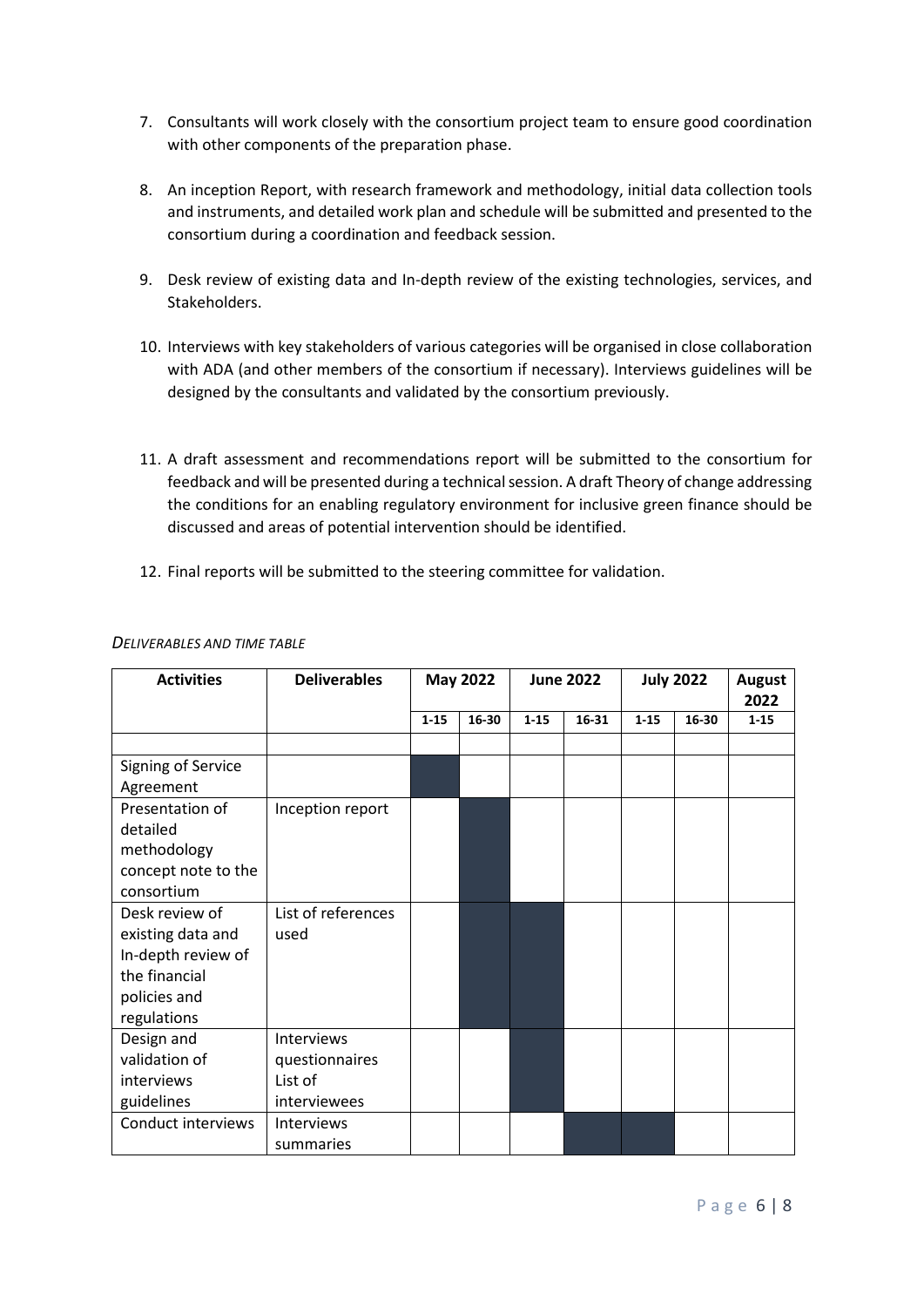- 7. Consultants will work closely with the consortium project team to ensure good coordination with other components of the preparation phase.
- 8. An inception Report, with research framework and methodology, initial data collection tools and instruments, and detailed work plan and schedule will be submitted and presented to the consortium during a coordination and feedback session.
- 9. Desk review of existing data and In-depth review of the existing technologies, services, and Stakeholders.
- 10. Interviews with key stakeholders of various categories will be organised in close collaboration with ADA (and other members of the consortium if necessary). Interviews guidelines will be designed by the consultants and validated by the consortium previously.
- 11. A draft assessment and recommendations report will be submitted to the consortium for feedback and will be presented during a technical session. A draft Theory of change addressing the conditions for an enabling regulatory environment for inclusive green finance should be discussed and areas of potential intervention should be identified.
- 12. Final reports will be submitted to the steering committee for validation.

| <b>Activities</b>               | <b>Deliverables</b> | <b>May 2022</b> |       | <b>June 2022</b> |       | <b>July 2022</b> |       | <b>August</b><br>2022 |
|---------------------------------|---------------------|-----------------|-------|------------------|-------|------------------|-------|-----------------------|
|                                 |                     | $1 - 15$        | 16-30 | $1 - 15$         | 16-31 | $1 - 15$         | 16-30 | $1 - 15$              |
|                                 |                     |                 |       |                  |       |                  |       |                       |
| Signing of Service<br>Agreement |                     |                 |       |                  |       |                  |       |                       |
| Presentation of<br>detailed     | Inception report    |                 |       |                  |       |                  |       |                       |
| methodology                     |                     |                 |       |                  |       |                  |       |                       |
| concept note to the             |                     |                 |       |                  |       |                  |       |                       |
| consortium                      |                     |                 |       |                  |       |                  |       |                       |
| Desk review of                  | List of references  |                 |       |                  |       |                  |       |                       |
| existing data and               | used                |                 |       |                  |       |                  |       |                       |
| In-depth review of              |                     |                 |       |                  |       |                  |       |                       |
| the financial                   |                     |                 |       |                  |       |                  |       |                       |
| policies and                    |                     |                 |       |                  |       |                  |       |                       |
| regulations                     |                     |                 |       |                  |       |                  |       |                       |
| Design and                      | <b>Interviews</b>   |                 |       |                  |       |                  |       |                       |
| validation of                   | questionnaires      |                 |       |                  |       |                  |       |                       |
| interviews                      | List of             |                 |       |                  |       |                  |       |                       |
| guidelines                      | interviewees        |                 |       |                  |       |                  |       |                       |
| Conduct interviews              | Interviews          |                 |       |                  |       |                  |       |                       |
|                                 | summaries           |                 |       |                  |       |                  |       |                       |

#### *DELIVERABLES AND TIME TABLE*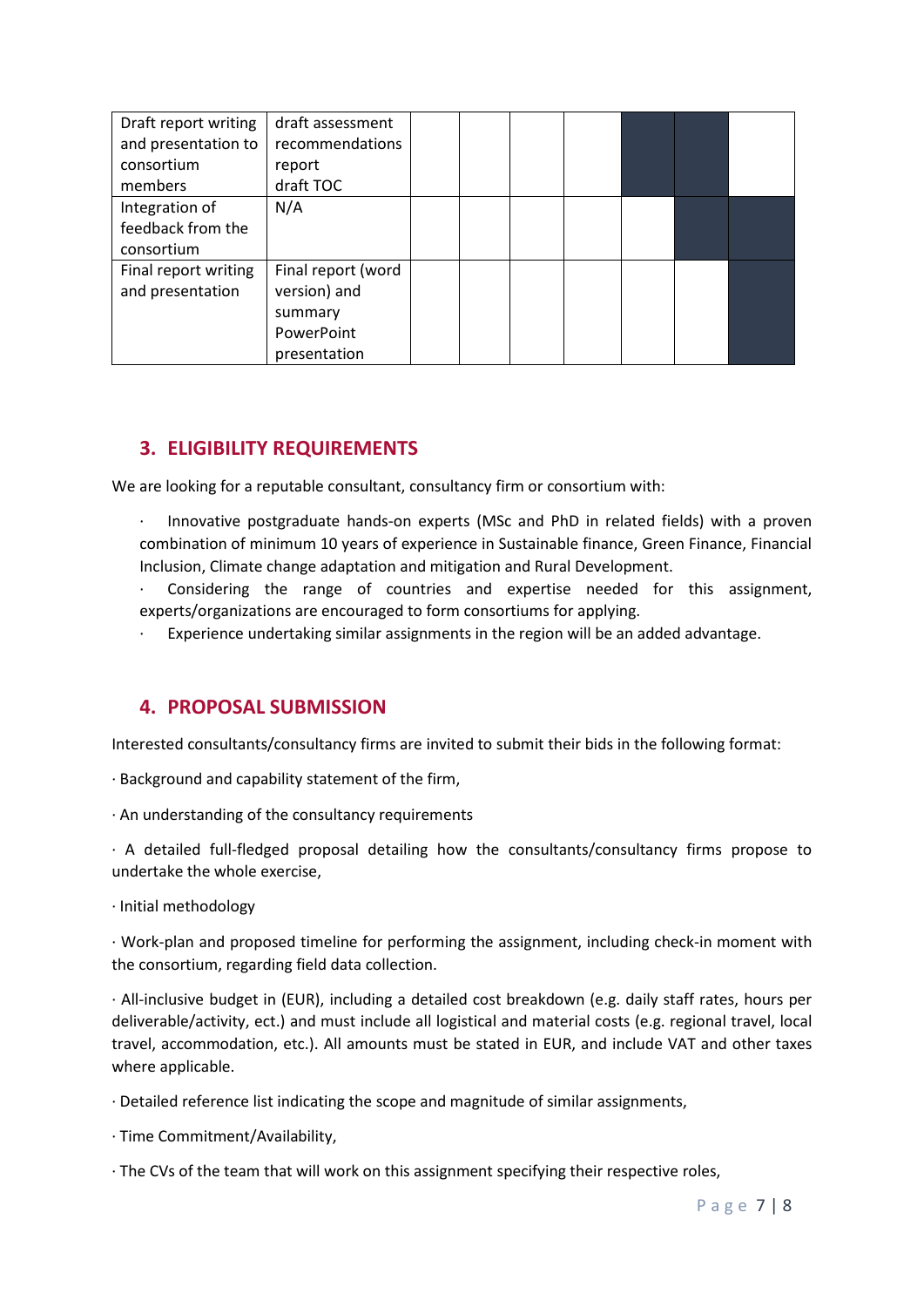| Draft report writing | draft assessment   |  |  |  |  |
|----------------------|--------------------|--|--|--|--|
| and presentation to  | recommendations    |  |  |  |  |
| consortium           | report             |  |  |  |  |
| members              | draft TOC          |  |  |  |  |
| Integration of       | N/A                |  |  |  |  |
| feedback from the    |                    |  |  |  |  |
| consortium           |                    |  |  |  |  |
| Final report writing | Final report (word |  |  |  |  |
| and presentation     | version) and       |  |  |  |  |
|                      | summary            |  |  |  |  |
|                      | PowerPoint         |  |  |  |  |
|                      | presentation       |  |  |  |  |

## **3. ELIGIBILITY REQUIREMENTS**

We are looking for a reputable consultant, consultancy firm or consortium with:

- · Innovative postgraduate hands-on experts (MSc and PhD in related fields) with a proven combination of minimum 10 years of experience in Sustainable finance, Green Finance, Financial Inclusion, Climate change adaptation and mitigation and Rural Development.
- Considering the range of countries and expertise needed for this assignment, experts/organizations are encouraged to form consortiums for applying.
- Experience undertaking similar assignments in the region will be an added advantage.

#### **4. PROPOSAL SUBMISSION**

Interested consultants/consultancy firms are invited to submit their bids in the following format:

- · Background and capability statement of the firm,
- · An understanding of the consultancy requirements

· A detailed full-fledged proposal detailing how the consultants/consultancy firms propose to undertake the whole exercise,

· Initial methodology

· Work-plan and proposed timeline for performing the assignment, including check-in moment with the consortium, regarding field data collection.

· All-inclusive budget in (EUR), including a detailed cost breakdown (e.g. daily staff rates, hours per deliverable/activity, ect.) and must include all logistical and material costs (e.g. regional travel, local travel, accommodation, etc.). All amounts must be stated in EUR, and include VAT and other taxes where applicable.

- · Detailed reference list indicating the scope and magnitude of similar assignments,
- · Time Commitment/Availability,
- · The CVs of the team that will work on this assignment specifying their respective roles,